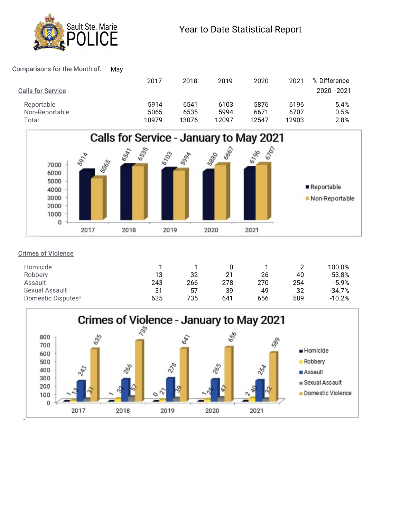

| Sault Ste. Marie<br>Year to Date Statistical Report<br>ICE<br>omparisons for the Month of:<br>May<br>% Difference<br>2017<br>2018<br>2019<br>2020<br>2021<br><b>Calls for Service</b><br>2020 - 2021<br>Reportable<br>5914<br>6103<br>5876<br>6196<br>5.4%<br>6541<br>6707<br>0.5%<br>Non-Reportable<br>5065<br>6535<br>5994<br>6671<br>10979<br>13076<br>12097<br>12547<br>2.8%<br>Total<br>12903 |  |  |  |  |  |  |  |
|----------------------------------------------------------------------------------------------------------------------------------------------------------------------------------------------------------------------------------------------------------------------------------------------------------------------------------------------------------------------------------------------------|--|--|--|--|--|--|--|
|                                                                                                                                                                                                                                                                                                                                                                                                    |  |  |  |  |  |  |  |
|                                                                                                                                                                                                                                                                                                                                                                                                    |  |  |  |  |  |  |  |
|                                                                                                                                                                                                                                                                                                                                                                                                    |  |  |  |  |  |  |  |
|                                                                                                                                                                                                                                                                                                                                                                                                    |  |  |  |  |  |  |  |
|                                                                                                                                                                                                                                                                                                                                                                                                    |  |  |  |  |  |  |  |
|                                                                                                                                                                                                                                                                                                                                                                                                    |  |  |  |  |  |  |  |
|                                                                                                                                                                                                                                                                                                                                                                                                    |  |  |  |  |  |  |  |
|                                                                                                                                                                                                                                                                                                                                                                                                    |  |  |  |  |  |  |  |
|                                                                                                                                                                                                                                                                                                                                                                                                    |  |  |  |  |  |  |  |
|                                                                                                                                                                                                                                                                                                                                                                                                    |  |  |  |  |  |  |  |
|                                                                                                                                                                                                                                                                                                                                                                                                    |  |  |  |  |  |  |  |
|                                                                                                                                                                                                                                                                                                                                                                                                    |  |  |  |  |  |  |  |
|                                                                                                                                                                                                                                                                                                                                                                                                    |  |  |  |  |  |  |  |



## Crimes of Violence

| Homicide              |     |     |     |     | <u>_</u> | 100.0%   |
|-----------------------|-----|-----|-----|-----|----------|----------|
| Robbery               | 13  | 32  | 21  | 26  | 40       | 53.8%    |
| Assault               | 243 | 266 | 278 | 270 | 254      | $-5.9\%$ |
| <b>Sexual Assault</b> | 31  | 57  | 39  | 49  | 32       | $-34.7%$ |
| Domestic Disputes*    | 635 | 735 | 641 | 656 | 589      | $-10.2%$ |
|                       |     |     |     |     |          |          |